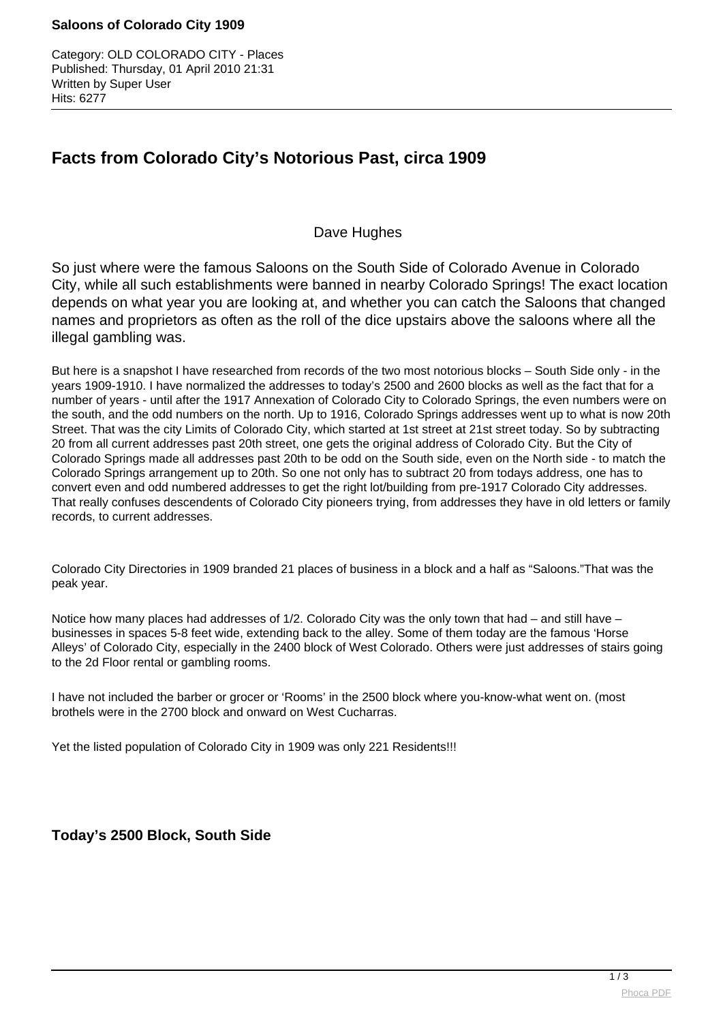#### **Saloons of Colorado City 1909**

Category: OLD COLORADO CITY - Places Published: Thursday, 01 April 2010 21:31 Written by Super User Hits: 6277

# **Facts from Colorado City's Notorious Past, circa 1909**

### Dave Hughes

So just where were the famous Saloons on the South Side of Colorado Avenue in Colorado City, while all such establishments were banned in nearby Colorado Springs! The exact location depends on what year you are looking at, and whether you can catch the Saloons that changed names and proprietors as often as the roll of the dice upstairs above the saloons where all the illegal gambling was.

But here is a snapshot I have researched from records of the two most notorious blocks – South Side only - in the years 1909-1910. I have normalized the addresses to today's 2500 and 2600 blocks as well as the fact that for a number of years - until after the 1917 Annexation of Colorado City to Colorado Springs, the even numbers were on the south, and the odd numbers on the north. Up to 1916, Colorado Springs addresses went up to what is now 20th Street. That was the city Limits of Colorado City, which started at 1st street at 21st street today. So by subtracting 20 from all current addresses past 20th street, one gets the original address of Colorado City. But the City of Colorado Springs made all addresses past 20th to be odd on the South side, even on the North side - to match the Colorado Springs arrangement up to 20th. So one not only has to subtract 20 from todays address, one has to convert even and odd numbered addresses to get the right lot/building from pre-1917 Colorado City addresses. That really confuses descendents of Colorado City pioneers trying, from addresses they have in old letters or family records, to current addresses.

Colorado City Directories in 1909 branded 21 places of business in a block and a half as "Saloons."That was the peak year.

Notice how many places had addresses of 1/2. Colorado City was the only town that had – and still have – businesses in spaces 5-8 feet wide, extending back to the alley. Some of them today are the famous 'Horse Alleys' of Colorado City, especially in the 2400 block of West Colorado. Others were just addresses of stairs going to the 2d Floor rental or gambling rooms.

I have not included the barber or grocer or 'Rooms' in the 2500 block where you-know-what went on. (most brothels were in the 2700 block and onward on West Cucharras.

Yet the listed population of Colorado City in 1909 was only 221 Residents!!!

## **Today's 2500 Block, South Side**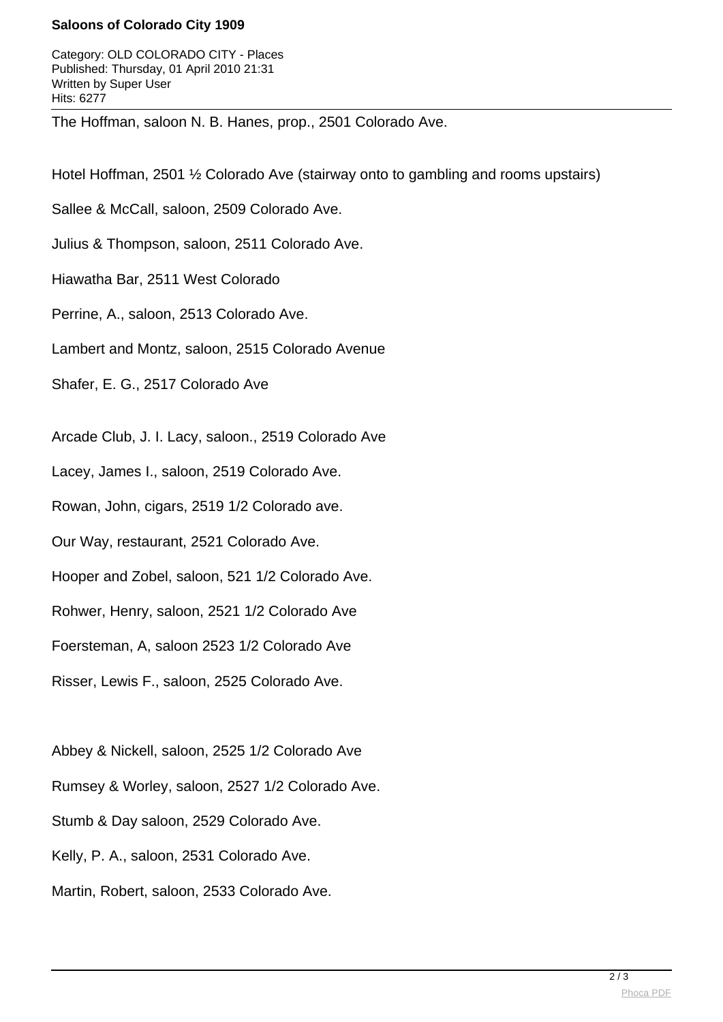#### **Saloons of Colorado City 1909**

Category: OLD COLORADO CITY - Places Published: Thursday, 01 April 2010 21:31 Written by Super User Hits: 6277

The Hoffman, saloon N. B. Hanes, prop., 2501 Colorado Ave.

Hotel Hoffman, 2501 ½ Colorado Ave (stairway onto to gambling and rooms upstairs)

Sallee & McCall, saloon, 2509 Colorado Ave.

Julius & Thompson, saloon, 2511 Colorado Ave.

Hiawatha Bar, 2511 West Colorado

Perrine, A., saloon, 2513 Colorado Ave.

Lambert and Montz, saloon, 2515 Colorado Avenue

Shafer, E. G., 2517 Colorado Ave

Arcade Club, J. I. Lacy, saloon., 2519 Colorado Ave

Lacey, James I., saloon, 2519 Colorado Ave.

Rowan, John, cigars, 2519 1/2 Colorado ave.

Our Way, restaurant, 2521 Colorado Ave.

Hooper and Zobel, saloon, 521 1/2 Colorado Ave.

Rohwer, Henry, saloon, 2521 1/2 Colorado Ave

Foersteman, A, saloon 2523 1/2 Colorado Ave

Risser, Lewis F., saloon, 2525 Colorado Ave.

Abbey & Nickell, saloon, 2525 1/2 Colorado Ave Rumsey & Worley, saloon, 2527 1/2 Colorado Ave. Stumb & Day saloon, 2529 Colorado Ave. Kelly, P. A., saloon, 2531 Colorado Ave. Martin, Robert, saloon, 2533 Colorado Ave.